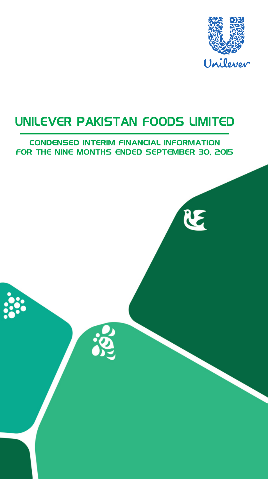

RE

## UNILEVER PAKISTAN FOODS LIMITED

### **CONDENSED INTERIM FINANCIAL INFORMATION** FOR THE NINE MONTHS ENDED SEPTEMBER 30, 2015

Q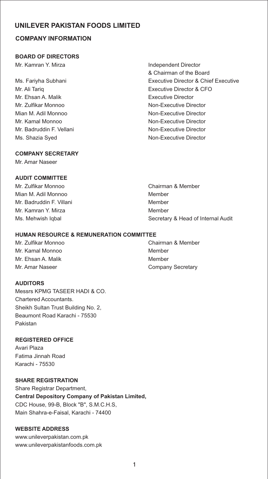#### **COMPANY INFORMATION**

#### **BOARD OF DIRECTORS**

Mr. Kamran Y. Mirza **Independent Director** 

Mr. Ehsan A. Malik **Executive Director** Mr. Zulfikar Monnoo Non-Executive Director Mian M. Adil Monnoo Non-Executive Director Mr. Kamal Monnoo Non-Executive Director Mr. Badruddin F. Vellani Non-Executive Director Ms. Shazia Syed **Non-Executive Director** 

# & Chairman of the Board Ms. Fariyha Subhani Executive Director & Chief Executive Mr. Ali Tariq Executive Director & CFO

#### **COMPANY SECRETARY**

Mr. Amar Naseer

#### **AUDIT COMMITTEE**

Mr. Zulfikar Monnoo Chairman & Member Mian M. Adil Monnoo Member Mr. Badruddin F. Villani Member Mr. Kamran Y. Mirza **Miramora America America America** Member

#### **HUMAN RESOURCE & REMUNERATION COMMITTEE**

Mr. Kamal Monnoo Member Mr. Ehsan A. Malik Member

#### **AUDITORS**

Messrs KPMG TASEER HADI & CO. Chartered Accountants. Sheikh Sultan Trust Building No. 2, Beaumont Road Karachi - 75530 Pakistan

#### **REGISTERED OFFICE**

Avari Plaza Fatima Jinnah Road Karachi - 75530

#### **SHARE REGISTRATION**

Share Registrar Department, **Central Depository Company of Pakistan Limited,** CDC House, 99-B, Block "B", S.M.C.H.S, Main Shahra-e-Faisal, Karachi - 74400

#### **WEBSITE ADDRESS**

www.unileverpakistan.com.pk www.unileverpakistanfoods.com.pk

Ms. Mehwish Iqbal Secretary & Head of Internal Audit

Mr. Zulfikar Monnoo Chairman & Member Mr. Amar Naseer **Company Secretary** Company Secretary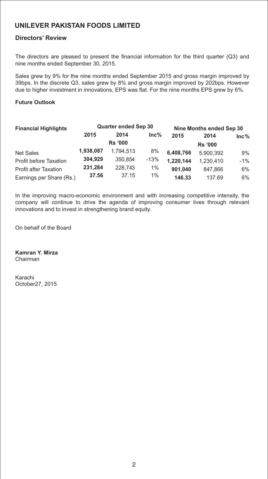#### **Directors' Review**

The directors are pleased to present the financial information for the third quarter (Q3) and nine months ended September 30, 2015.

Sales grew by 9% for the nine months ended September 2015 and gross margin improved by 39bps. In the discrete Q3, sales grew by 8% and gross margin improved by 202bps. However due to higher investment in innovations, EPS was flat. For the nine months EPS grew by 6%.

#### **Future Outlook**

| <b>Financial Highlights</b>  |           | <b>Quarter ended Sep 30</b> |         |           | Nine Months ended Sep 30 |         |  |
|------------------------------|-----------|-----------------------------|---------|-----------|--------------------------|---------|--|
|                              | 2015      | 2014                        | $Inc\%$ | 2015      | 2014                     | $Inc\%$ |  |
|                              |           | <b>Rs '000</b>              |         |           | <b>Rs '000</b>           |         |  |
| <b>Net Sales</b>             | 1.938.087 | 1.794.513                   | 8%      | 6,408,766 | 5.900.392                | 9%      |  |
| Profit before Taxation       | 304,929   | 350.854                     | $-13%$  | 1,220,144 | 1.230.410                | $-1\%$  |  |
| <b>Profit after Taxation</b> | 231,284   | 228,743                     | $1\%$   | 901.040   | 847.866                  | 6%      |  |
| Earnings per Share (Rs.)     | 37.56     | 37.15                       | $1\%$   | 146.33    | 137.69                   | 6%      |  |

In the improving macro-economic environment and with increasing competitive intensity, the company will continue to drive the agenda of improving consumer lives through relevant innovations and to invest in strengthening brand equity.

On behalf of the Board

**Kamran Y. Mirza** Chairman

Karachi October27, 2015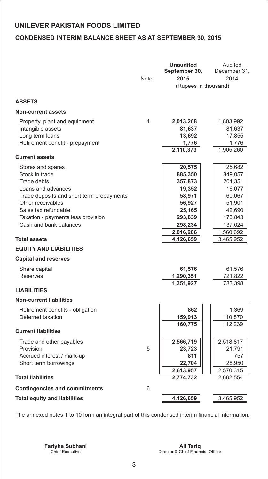#### **CONDENSED INTERIM BALANCE SHEET AS AT SEPTEMBER 30, 2015**

|                                                                                                                                                                                                                                                                                                                                                                                     | <b>Note</b> | <b>Unaudited</b><br>September 30,<br>2015<br>(Rupees in thousand)                                                                                        | Audited<br>December 31,<br>2014                                                                                                                      |
|-------------------------------------------------------------------------------------------------------------------------------------------------------------------------------------------------------------------------------------------------------------------------------------------------------------------------------------------------------------------------------------|-------------|----------------------------------------------------------------------------------------------------------------------------------------------------------|------------------------------------------------------------------------------------------------------------------------------------------------------|
| <b>ASSETS</b>                                                                                                                                                                                                                                                                                                                                                                       |             |                                                                                                                                                          |                                                                                                                                                      |
| <b>Non-current assets</b>                                                                                                                                                                                                                                                                                                                                                           |             |                                                                                                                                                          |                                                                                                                                                      |
| Property, plant and equipment<br>Intangible assets<br>Long term loans<br>Retirement benefit - prepayment                                                                                                                                                                                                                                                                            | 4           | 2,013,268<br>81,637<br>13,692<br>1,776                                                                                                                   | 1,803,992<br>81,637<br>17,855<br>1,776                                                                                                               |
| <b>Current assets</b>                                                                                                                                                                                                                                                                                                                                                               |             | 2,110,373                                                                                                                                                | 1,905,260                                                                                                                                            |
| Stores and spares<br>Stock in trade<br>Trade debts<br>Loans and advances<br>Trade deposits and short term prepayments<br>Other receivables<br>Sales tax refundable<br>Taxation - payments less provision<br>Cash and bank balances<br><b>Total assets</b><br><b>EQUITY AND LIABILITIES</b><br><b>Capital and reserves</b><br>Share capital<br><b>Reserves</b><br><b>LIABILITIES</b> |             | 20,575<br>885,350<br>357,873<br>19,352<br>58,971<br>56,927<br>25,165<br>293,839<br>298,234<br>2,016,286<br>4,126,659<br>61,576<br>1,290,351<br>1,351,927 | 25,682<br>849,057<br>204,351<br>16,077<br>60,067<br>51,901<br>42,690<br>173,843<br>137,024<br>1,560,692<br>3,465,952<br>61,576<br>721,822<br>783,398 |
| <b>Non-current liabilities</b><br>Retirement benefits - obligation                                                                                                                                                                                                                                                                                                                  |             | 862                                                                                                                                                      | 1,369                                                                                                                                                |
| Deferred taxation                                                                                                                                                                                                                                                                                                                                                                   |             | 159,913                                                                                                                                                  | 110,870                                                                                                                                              |
| <b>Current liabilities</b>                                                                                                                                                                                                                                                                                                                                                          |             | 160,775                                                                                                                                                  | 112,239                                                                                                                                              |
| Trade and other payables<br>Provision<br>Accrued interest / mark-up<br>Short term borrowings                                                                                                                                                                                                                                                                                        | 5           | 2,566,719<br>23,723<br>811<br>22,704<br>2,613,957                                                                                                        | 2,518,817<br>21,791<br>757<br>28,950<br>2,570,315                                                                                                    |
| <b>Total liabilities</b>                                                                                                                                                                                                                                                                                                                                                            |             | 2,774,732                                                                                                                                                | 2,682,554                                                                                                                                            |
| <b>Contingencies and commitments</b>                                                                                                                                                                                                                                                                                                                                                | 6           |                                                                                                                                                          |                                                                                                                                                      |
| <b>Total equity and liabilities</b>                                                                                                                                                                                                                                                                                                                                                 |             | 4,126,659                                                                                                                                                | 3,465,952                                                                                                                                            |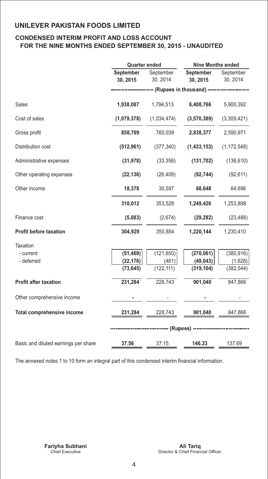#### **CONDENSED INTERIM PROFIT AND LOSS ACCOUNT FOR THE NINE MONTHS ENDED SEPTEMBER 30, 2015 - UNAUDITED**

|                              | <b>Nine Months ended</b> |                               |                                             |  |
|------------------------------|--------------------------|-------------------------------|---------------------------------------------|--|
| <b>September</b><br>30, 2015 | September<br>30, 2014    | September<br>30, 2015         | September<br>30, 2014                       |  |
|                              |                          |                               |                                             |  |
| 1,938,087                    | 1,794,513                | 6,408,766                     | 5,900,392                                   |  |
| (1,079,378)                  | (1,034,474)              | (3,570,389)                   | (3,309,421)                                 |  |
| 858,709                      | 760,039                  | 2,838,377                     | 2,590,971                                   |  |
| (512, 961)                   | (377, 340)               | (1,433,153)                   | (1, 172, 548)                               |  |
| (31, 978)                    | (33, 358)                | (131, 702)                    | (136, 610)                                  |  |
| (22, 136)                    | (26, 409)                | (92, 744)                     | (92, 611)                                   |  |
| 18,378                       | 30,597                   | 68,648                        | 64,696                                      |  |
| 310,012                      | 353,528                  | 1,249,426                     | 1,253,898                                   |  |
| (5,083)                      | (2,674)                  | (29, 282)                     | (23, 488)                                   |  |
| 304,929                      | 350,854                  | 1,220,144                     | 1,230,410                                   |  |
|                              |                          |                               |                                             |  |
| (51, 469)                    | (121, 650)               | (270, 061)                    | (380, 916)                                  |  |
| (73, 645)                    | (122, 111)               | (319, 104)                    | (1,628)<br>(382, 544)                       |  |
| 231,284                      | 228,743                  | 901,040                       | 847,866                                     |  |
|                              |                          |                               |                                             |  |
| 231,284                      | 228,743                  | 901,040                       | 847,866                                     |  |
|                              |                          |                               |                                             |  |
| 37.56                        | 37.15                    | 146.33                        | 137.69                                      |  |
|                              | (22, 176)                | <b>Quarter ended</b><br>(461) | (49, 043)<br>--------- (Rupees) ----------- |  |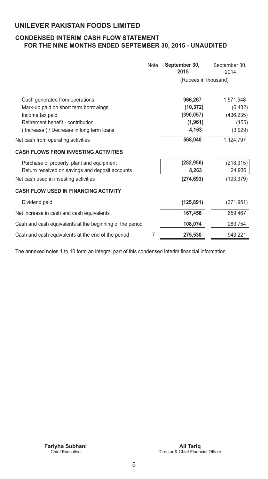#### **CONDENSED INTERIM CASH FLOW STATEMENT FOR THE NINE MONTHS ENDED SEPTEMBER 30, 2015 - UNAUDITED**

|                                                                                                                                                                                                                   | <b>Note</b> | September 30,<br>2015                                             | September 30,<br>2014                                                |
|-------------------------------------------------------------------------------------------------------------------------------------------------------------------------------------------------------------------|-------------|-------------------------------------------------------------------|----------------------------------------------------------------------|
|                                                                                                                                                                                                                   |             | (Rupees in thousand)                                              |                                                                      |
| Cash generated from operations<br>Mark-up paid on short term borrowings<br>Income tax paid<br>Retirement benefit - contribution<br>(Increase) / Decrease in long term loans<br>Net cash from operating activities |             | 966,267<br>(10, 372)<br>(390, 057)<br>(1,961)<br>4,163<br>568,040 | 1,571,548<br>(6, 432)<br>(436, 235)<br>(155)<br>(3,929)<br>1,124,797 |
| <b>CASH FLOWS FROM INVESTING ACTIVITIES</b>                                                                                                                                                                       |             |                                                                   |                                                                      |
| Purchase of property, plant and equipment<br>Return received on savings and deposit accounts<br>Net cash used in investing activities                                                                             |             | (282, 956)<br>8,263<br>(274, 693)                                 | (218, 315)<br>24,936<br>(193, 379)                                   |
| <b>CASH FLOW USED IN FINANCING ACTIVITY</b>                                                                                                                                                                       |             |                                                                   |                                                                      |
| Dividend paid                                                                                                                                                                                                     |             | (125, 891)                                                        | (271, 951)                                                           |
| Net increase in cash and cash equivalents                                                                                                                                                                         |             | 167,456                                                           | 659,467                                                              |
| Cash and cash equivalents at the beginning of the period                                                                                                                                                          |             | 108,074                                                           | 283,754                                                              |
| Cash and cash equivalents at the end of the period                                                                                                                                                                | 7           | 275,530                                                           | 943,221                                                              |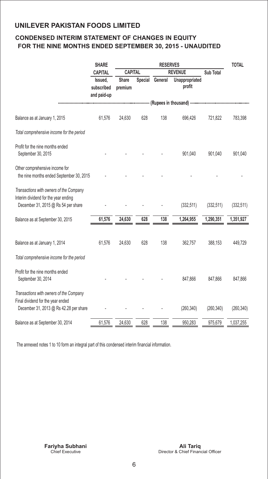#### **CONDENSED INTERIM STATEMENT OF CHANGES IN EQUITY FOR THE NINE MONTHS ENDED SEPTEMBER 30, 2015 - UNAUDITED**

|                                                                                                                        | <b>SHARE</b>                         | <b>RESERVES</b>                  |     |                 |                              |            | <b>TOTAL</b> |
|------------------------------------------------------------------------------------------------------------------------|--------------------------------------|----------------------------------|-----|-----------------|------------------------------|------------|--------------|
|                                                                                                                        | CAPITAL                              | <b>CAPITAL</b><br><b>REVENUE</b> |     |                 | <b>Sub Total</b>             |            |              |
|                                                                                                                        | Issued.<br>subscribed<br>and paid-up | <b>Share</b><br>premium          |     | Special General | Unappropriated<br>profit     |            |              |
|                                                                                                                        |                                      |                                  |     |                 | -- (Rupees in thousand) ---- |            |              |
| Balance as at January 1, 2015                                                                                          | 61,576                               | 24,630                           | 628 | 138             | 696,426                      | 721,822    | 783,398      |
| Total comprehensive income for the period                                                                              |                                      |                                  |     |                 |                              |            |              |
| Profit for the nine months ended<br>September 30, 2015                                                                 |                                      |                                  |     |                 | 901,040                      | 901,040    | 901,040      |
| Other comprehensive income for<br>the nine months ended September 30, 2015                                             |                                      |                                  |     |                 |                              |            |              |
| Transactions with owners of the Company<br>Interim dividend for the year ending<br>December 31, 2015 @ Rs 54 per share |                                      |                                  |     |                 | (332, 511)                   | (332, 511) | (332, 511)   |
| Balance as at September 30, 2015                                                                                       | 61,576                               | 24,630                           | 628 | 138             | 1,264,955                    | 1,290,351  | 1,351,927    |
| Balance as at January 1, 2014                                                                                          | 61,576                               | 24,630                           | 628 | 138             | 362,757                      | 388,153    | 449,729      |
| Total comprehensive income for the period                                                                              |                                      |                                  |     |                 |                              |            |              |
| Profit for the nine months ended<br>September 30, 2014                                                                 |                                      |                                  |     |                 | 847,866                      | 847,866    | 847,866      |
| Transactions with owners of the Company<br>Final dividend for the year ended<br>December 31, 2013 @ Rs 42.28 per share |                                      |                                  |     |                 | (260, 340)                   | (260, 340) | (260, 340)   |
| Balance as at September 30, 2014                                                                                       | 61,576                               | 24,630                           | 628 | 138             | 950,283                      | 975,679    | 1,037,255    |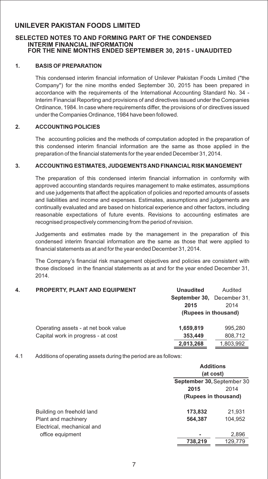#### **SELECTED NOTES TO AND FORMING PART OF THE CONDENSED INTERIM FINANCIAL INFORMATION FOR THE NINE MONTHS ENDED SEPTEMBER 30, 2015 - UNAUDITED**

#### **1. BASIS OF PREPARATION**

This condensed interim financial information of Unilever Pakistan Foods Limited ("the Company") for the nine months ended September 30, 2015 has been prepared in accordance with the requirements of the International Accounting Standard No. 34 - Interim Financial Reporting and provisions of and directives issued under the Companies Ordinance, 1984. In case where requirements differ, the provisions of or directives issued under the Companies Ordinance, 1984 have been followed.

#### **2. ACCOUNTING POLICIES**

The accounting policies and the methods of computation adopted in the preparation of this condensed interim financial information are the same as those applied in the preparation of the financial statements for the year ended December 31, 2014.

#### **3. ACCOUNTING ESTIMATES, JUDGEMENTS AND FINANCIAL RISK MANGEMENT**

The preparation of this condensed interim financial information in conformity with approved accounting standards requires management to make estimates, assumptions and use judgements that affect the application of policies and reported amounts of assets and liabilities and income and expenses. Estimates, assumptions and judgements are continually evaluated and are based on historical experience and other factors, including reasonable expectations of future events. Revisions to accounting estimates are recognised prospectively commencing from the period of revision.

Judgements and estimates made by the management in the preparation of this condensed interim financial information are the same as those that were applied to financial statements as at and for the year ended December 31, 2014.

The Company's financial risk management objectives and policies are consistent with those disclosed in the financial statements as at and for the year ended December 31, 2014.

| 4. | <b>PROPERTY, PLANT AND EQUIPMENT</b> | <b>Unaudited</b>           | Audited   |
|----|--------------------------------------|----------------------------|-----------|
|    |                                      | September 30, December 31. |           |
|    |                                      | 2015                       | 2014      |
|    |                                      | (Rupees in thousand)       |           |
|    | Operating assets - at net book value | 1,659,819                  | 995.280   |
|    | Capital work in progress - at cost   | 353,449                    | 808,712   |
|    |                                      | 2,013,268                  | 1,803,992 |

#### 4.1 Additions of operating assets during the period are as follows:

|                                                   | <b>Additions</b><br>(at cost)<br>September 30, September 30 |         |  |
|---------------------------------------------------|-------------------------------------------------------------|---------|--|
|                                                   |                                                             |         |  |
|                                                   | 2015                                                        | 2014    |  |
|                                                   | (Rupees in thousand)                                        |         |  |
| Building on freehold land                         | 173,832                                                     | 21,931  |  |
| Plant and machinery<br>Electrical, mechanical and | 564,387                                                     | 104,952 |  |
| office equipment                                  |                                                             | 2,896   |  |
|                                                   | 738,219                                                     | 129,779 |  |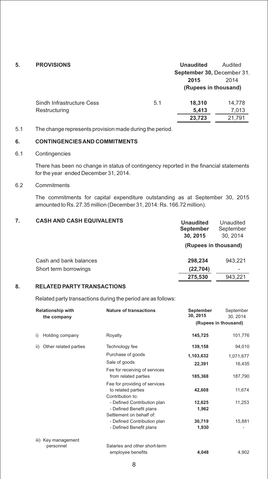| 5. | <b>PROVISIONS</b>         |     | <b>Unaudited</b>           | Audited |
|----|---------------------------|-----|----------------------------|---------|
|    |                           |     | September 30, December 31. |         |
|    |                           |     | 2015                       | 2014    |
|    |                           |     | (Rupees in thousand)       |         |
|    | Sindh Infrastructure Cess | 5.1 | 18.310                     | 14,778  |
|    | Restructuring             |     | 5,413                      | 7,013   |
|    |                           |     | 23,723                     | 21,791  |
|    |                           |     |                            |         |

#### 5.1 The change represents provision made during the period.

#### **6. CONTINGENCIES AND COMMITMENTS**

#### 6.1 Contingencies

There has been no change in status of contingency reported in the financial statements for the year ended December 31, 2014.

#### 6.2 Commitments

The commitments for capital expenditure outstanding as at September 30, 2015 amounted to Rs. 27.35 million (December 31, 2014: Rs. 166.72 million).

| <b>CASH AND CASH EQUIVALENTS</b> | <b>Unaudited</b><br><b>September</b><br>30, 2015 | Unaudited<br>September<br>30, 2014 |
|----------------------------------|--------------------------------------------------|------------------------------------|
|                                  | (Rupees in thousand)                             |                                    |
| Cash and bank balances           | 298.234                                          | 943.221                            |
| Short term borrowings            | (22, 704)                                        |                                    |
|                                  | 275,530                                          | 943.221                            |

#### **8. RELATED PARTYTRANSACTIONS**

Related party transactions during the period are as follows:

| <b>Relationship with</b><br>the company | <b>Nature of transactions</b>                                                                                                                                 | September<br>30, 2015                     | September<br>30, 2014<br>(Rupees in thousand) |
|-----------------------------------------|---------------------------------------------------------------------------------------------------------------------------------------------------------------|-------------------------------------------|-----------------------------------------------|
| i)<br>Holding company                   | Royalty                                                                                                                                                       | 145,725                                   | 101,776                                       |
| Other related parties<br>ii)            | Technology fee<br>Purchase of goods<br>Sale of goods<br>Fee for receiving of services<br>from related parties                                                 | 139,158<br>1,103,632<br>22,391<br>185,368 | 94,010<br>1,071,677<br>16,435<br>187,790      |
|                                         | Fee for providing of services<br>to related parties<br>Contribution to:<br>- Defined Contribution plan<br>- Defined Benefit plans<br>Settlement on behalf of: | 42,608<br>12,625<br>1,962                 | 11,674<br>11,253                              |
|                                         | - Defined Contribution plan<br>- Defined Benefit plans                                                                                                        | 30,719<br>1,930                           | 15,881                                        |
| iii) Key management<br>personnel        | Salaries and other short-term<br>employee benefits                                                                                                            | 4,048                                     | 4,902                                         |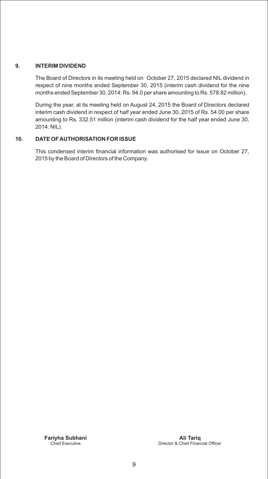#### **9. INTERIM DIVIDEND**

The Board of Directors in its meeting held on October 27, 2015 declared NIL dividend in respect of nine months ended September 30, 2015 (interim cash dividend for the nine months ended September 30, 2014: Rs. 94.0 per share amounting to Rs. 578.82 million).

During the year, at its meeting held on August 24, 2015 the Board of Directors declared interim cash dividend in respect of half year ended June 30, 2015 of Rs. 54.00 per share amounting to Rs. 332.51 million (interim cash dividend for the half year ended June 30, 2014: NIL).

#### **10. DATE OF AUTHORISATION FOR ISSUE**

This condensed interim financial information was authorised for issue on October 27, 2015 by the Board of Directors of the Company.